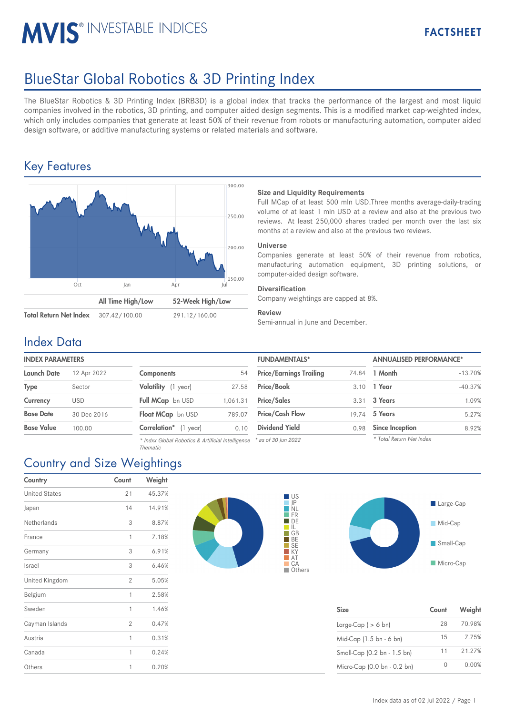# **MVIS® INVESTABLE INDICES**

# BlueStar Global Robotics & 3D Printing Index

The BlueStar Robotics & 3D Printing Index (BRB3D) is a global index that tracks the performance of the largest and most liquid companies involved in the robotics, 3D printing, and computer aided design segments. This is a modified market cap-weighted index, which only includes companies that generate at least 50% of their revenue from robots or manufacturing automation, computer aided design software, or additive manufacturing systems or related materials and software.

## Key Features



## **Size and Liquidity Requirements**

Full MCap of at least 500 mln USD.Three months average-daily-trading volume of at least 1 mln USD at a review and also at the previous two reviews. At least 250,000 shares traded per month over the last six months at a review and also at the previous two reviews.

### **Universe**

Companies generate at least 50% of their revenue from robotics, manufacturing automation equipment, 3D printing solutions, or computer-aided design software.

### **Diversification**

Company weightings are capped at 8%.

## **Review**

Semi-annual in June and December.

## Index Data

## **INDEX PARAMETERS**

| <b>Launch Date</b> | 12 Apr 2022 | Co  |
|--------------------|-------------|-----|
| <b>Type</b>        | Sector      | Va  |
| Currency           | <b>USD</b>  | Ful |
| <b>Base Date</b>   | 30 Dec 2016 | Flo |
| <b>Base Value</b>  | 100.00      | ിറ  |

| <b>Components</b>     | 54       |
|-----------------------|----------|
| Volatility (1 year)   | 27.58    |
| Full MCap bn USD      | 1,061.31 |
| Float MCap bn USD     | 789.07   |
| Correlation* (1 year) | 0.10     |

*\* Indxx Global Robotics & Artificial Intelligence \* as of 30 Jun 2022 Thematic*

| <b>INDEX PARAMETERS</b> |             |                       |          | <b>FUNDAMENTALS*</b>           |       | <b>ANNUALISED PERFORMANCE*</b> |           |
|-------------------------|-------------|-----------------------|----------|--------------------------------|-------|--------------------------------|-----------|
| Launch Date             | 12 Apr 2022 | <b>Components</b>     | 54       | <b>Price/Earnings Trailing</b> | 74.84 | 1 Month                        | $-13.70%$ |
| Type                    | Sector      | Volatility (1 year)   | 27.58    | <b>Price/Book</b>              | 3.10  | 1 Year                         | $-40.37%$ |
| Currency                | <b>USD</b>  | Full MCap bn USD      | 1.061.31 | <b>Price/Sales</b>             | 3.31  | 3 Years                        | 1.09%     |
| <b>Base Date</b>        | 30 Dec 2016 | Float MCap bn USD     | 789.07   | <b>Price/Cash Flow</b>         | 19.74 | 5 Years                        | 5.27%     |
| Base Value              | 100.00      | Correlation* (1 year) | 0.10     | <b>Dividend Yield</b>          | 0.98  | <b>Since Inception</b>         | 8.92%     |
|                         |             |                       |          |                                |       | $\star$ Tatal Datour Matlades  |           |

| 98 | Since Inception          |
|----|--------------------------|
|    | * Total Return Net Index |



| <b>Size</b>                 | Count  | Weight |
|-----------------------------|--------|--------|
| Large-Cap ( $> 6$ bn)       | 28     | 70.98% |
| Mid-Cap (1.5 bn - 6 bn)     | 15     | 7.75%  |
| Small-Cap (0.2 bn - 1.5 bn) | 11     | 21.27% |
| Micro-Cap (0.0 bn - 0.2 bn) | $\cup$ | 0.00%  |

## Country and Size Weightings

| Country              | Count          | Weight |
|----------------------|----------------|--------|
| <b>United States</b> | 21             | 45.37% |
| Japan                | 14             | 14.91% |
| Netherlands          | 3              | 8.87%  |
| France               | 1              | 7.18%  |
| Germany              | 3              | 6.91%  |
| Israel               | 3              | 6.46%  |
| United Kingdom       | $\overline{2}$ | 5.05%  |
| Belgium              | 1              | 2.58%  |
| Sweden               | 1              | 1.46%  |
| Cayman Islands       | 2              | 0.47%  |
| Austria              | 1              | 0.31%  |
| Canada               | 1              | 0.24%  |
| Others               | 1              | 0.20%  |